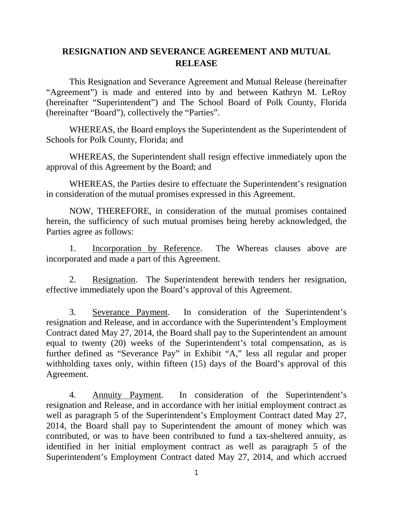# **RESIGNATION AND SEVERANCE AGREEMENT AND MUTUAL RELEASE**

This Resignation and Severance Agreement and Mutual Release (hereinafter "Agreement") is made and entered into by and between Kathryn M. LeRoy (hereinafter "Superintendent") and The School Board of Polk County, Florida (hereinafter "Board"), collectively the "Parties".

WHEREAS, the Board employs the Superintendent as the Superintendent of Schools for Polk County, Florida; and

WHEREAS, the Superintendent shall resign effective immediately upon the approval of this Agreement by the Board; and

WHEREAS, the Parties desire to effectuate the Superintendent's resignation in consideration of the mutual promises expressed in this Agreement.

NOW, THEREFORE, in consideration of the mutual promises contained herein, the sufficiency of such mutual promises being hereby acknowledged, the Parties agree as follows:

1. Incorporation by Reference. The Whereas clauses above are incorporated and made a part of this Agreement.

2. Resignation. The Superintendent herewith tenders her resignation, effective immediately upon the Board's approval of this Agreement.

3. Severance Payment. In consideration of the Superintendent's resignation and Release, and in accordance with the Superintendent's Employment Contract dated May 27, 2014, the Board shall pay to the Superintendent an amount equal to twenty (20) weeks of the Superintendent's total compensation, as is further defined as "Severance Pay" in Exhibit "A," less all regular and proper withholding taxes only, within fifteen (15) days of the Board's approval of this Agreement.

4. Annuity Payment. In consideration of the Superintendent's resignation and Release, and in accordance with her initial employment contract as well as paragraph 5 of the Superintendent's Employment Contract dated May 27, 2014, the Board shall pay to Superintendent the amount of money which was contributed, or was to have been contributed to fund a tax-sheltered annuity, as identified in her initial employment contract as well as paragraph 5 of the Superintendent's Employment Contract dated May 27, 2014, and which accrued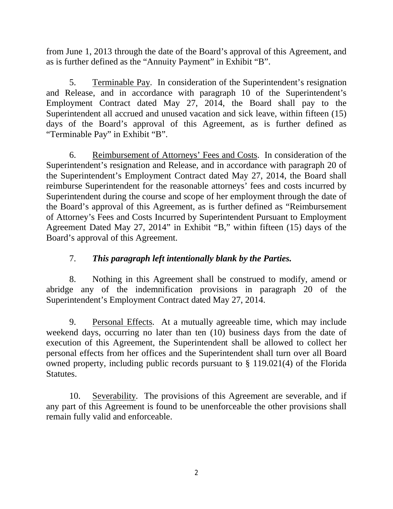from June 1, 2013 through the date of the Board's approval of this Agreement, and as is further defined as the "Annuity Payment" in Exhibit "B".

5. Terminable Pay. In consideration of the Superintendent's resignation and Release, and in accordance with paragraph 10 of the Superintendent's Employment Contract dated May 27, 2014, the Board shall pay to the Superintendent all accrued and unused vacation and sick leave, within fifteen (15) days of the Board's approval of this Agreement, as is further defined as "Terminable Pay" in Exhibit "B".

6. Reimbursement of Attorneys' Fees and Costs. In consideration of the Superintendent's resignation and Release, and in accordance with paragraph 20 of the Superintendent's Employment Contract dated May 27, 2014, the Board shall reimburse Superintendent for the reasonable attorneys' fees and costs incurred by Superintendent during the course and scope of her employment through the date of the Board's approval of this Agreement, as is further defined as "Reimbursement of Attorney's Fees and Costs Incurred by Superintendent Pursuant to Employment Agreement Dated May 27, 2014" in Exhibit "B," within fifteen (15) days of the Board's approval of this Agreement.

### 7. *This paragraph left intentionally blank by the Parties.*

8. Nothing in this Agreement shall be construed to modify, amend or abridge any of the indemnification provisions in paragraph 20 of the Superintendent's Employment Contract dated May 27, 2014.

9. Personal Effects. At a mutually agreeable time, which may include weekend days, occurring no later than ten (10) business days from the date of execution of this Agreement, the Superintendent shall be allowed to collect her personal effects from her offices and the Superintendent shall turn over all Board owned property, including public records pursuant to § 119.021(4) of the Florida Statutes.

10. Severability. The provisions of this Agreement are severable, and if any part of this Agreement is found to be unenforceable the other provisions shall remain fully valid and enforceable.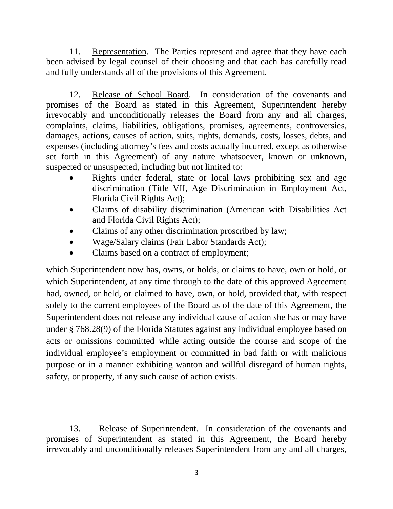11. Representation. The Parties represent and agree that they have each been advised by legal counsel of their choosing and that each has carefully read and fully understands all of the provisions of this Agreement.

12. Release of School Board. In consideration of the covenants and promises of the Board as stated in this Agreement, Superintendent hereby irrevocably and unconditionally releases the Board from any and all charges, complaints, claims, liabilities, obligations, promises, agreements, controversies, damages, actions, causes of action, suits, rights, demands, costs, losses, debts, and expenses (including attorney's fees and costs actually incurred, except as otherwise set forth in this Agreement) of any nature whatsoever, known or unknown, suspected or unsuspected, including but not limited to:

- Rights under federal, state or local laws prohibiting sex and age discrimination (Title VII, Age Discrimination in Employment Act, Florida Civil Rights Act);
- Claims of disability discrimination (American with Disabilities Act and Florida Civil Rights Act);
- Claims of any other discrimination proscribed by law;
- Wage/Salary claims (Fair Labor Standards Act);
- Claims based on a contract of employment;

which Superintendent now has, owns, or holds, or claims to have, own or hold, or which Superintendent, at any time through to the date of this approved Agreement had, owned, or held, or claimed to have, own, or hold, provided that, with respect solely to the current employees of the Board as of the date of this Agreement, the Superintendent does not release any individual cause of action she has or may have under § 768.28(9) of the Florida Statutes against any individual employee based on acts or omissions committed while acting outside the course and scope of the individual employee's employment or committed in bad faith or with malicious purpose or in a manner exhibiting wanton and willful disregard of human rights, safety, or property, if any such cause of action exists.

13. Release of Superintendent. In consideration of the covenants and promises of Superintendent as stated in this Agreement, the Board hereby irrevocably and unconditionally releases Superintendent from any and all charges,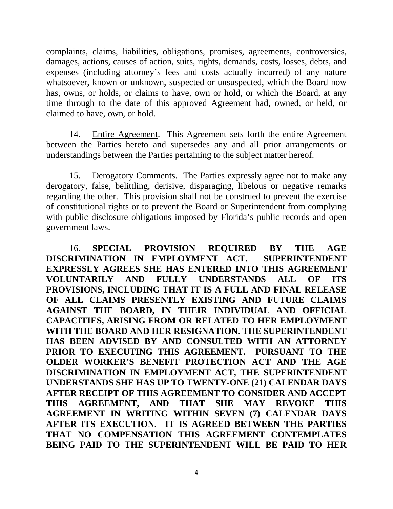complaints, claims, liabilities, obligations, promises, agreements, controversies, damages, actions, causes of action, suits, rights, demands, costs, losses, debts, and expenses (including attorney's fees and costs actually incurred) of any nature whatsoever, known or unknown, suspected or unsuspected, which the Board now has, owns, or holds, or claims to have, own or hold, or which the Board, at any time through to the date of this approved Agreement had, owned, or held, or claimed to have, own, or hold.

14. Entire Agreement. This Agreement sets forth the entire Agreement between the Parties hereto and supersedes any and all prior arrangements or understandings between the Parties pertaining to the subject matter hereof.

15. Derogatory Comments. The Parties expressly agree not to make any derogatory, false, belittling, derisive, disparaging, libelous or negative remarks regarding the other. This provision shall not be construed to prevent the exercise of constitutional rights or to prevent the Board or Superintendent from complying with public disclosure obligations imposed by Florida's public records and open government laws.

16. **SPECIAL PROVISION REQUIRED BY THE AGE DISCRIMINATION IN EMPLOYMENT ACT. SUPERINTENDENT EXPRESSLY AGREES SHE HAS ENTERED INTO THIS AGREEMENT VOLUNTARILY AND FULLY UNDERSTANDS ALL OF ITS PROVISIONS, INCLUDING THAT IT IS A FULL AND FINAL RELEASE OF ALL CLAIMS PRESENTLY EXISTING AND FUTURE CLAIMS AGAINST THE BOARD, IN THEIR INDIVIDUAL AND OFFICIAL CAPACITIES, ARISING FROM OR RELATED TO HER EMPLOYMENT WITH THE BOARD AND HER RESIGNATION. THE SUPERINTENDENT HAS BEEN ADVISED BY AND CONSULTED WITH AN ATTORNEY PRIOR TO EXECUTING THIS AGREEMENT. PURSUANT TO THE OLDER WORKER'S BENEFIT PROTECTION ACT AND THE AGE DISCRIMINATION IN EMPLOYMENT ACT, THE SUPERINTENDENT UNDERSTANDS SHE HAS UP TO TWENTY-ONE (21) CALENDAR DAYS AFTER RECEIPT OF THIS AGREEMENT TO CONSIDER AND ACCEPT THIS AGREEMENT, AND THAT SHE MAY REVOKE THIS AGREEMENT IN WRITING WITHIN SEVEN (7) CALENDAR DAYS AFTER ITS EXECUTION. IT IS AGREED BETWEEN THE PARTIES THAT NO COMPENSATION THIS AGREEMENT CONTEMPLATES BEING PAID TO THE SUPERINTENDENT WILL BE PAID TO HER**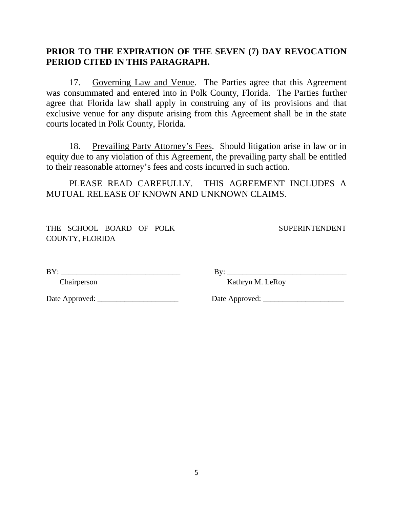### **PRIOR TO THE EXPIRATION OF THE SEVEN (7) DAY REVOCATION PERIOD CITED IN THIS PARAGRAPH.**

17. Governing Law and Venue. The Parties agree that this Agreement was consummated and entered into in Polk County, Florida. The Parties further agree that Florida law shall apply in construing any of its provisions and that exclusive venue for any dispute arising from this Agreement shall be in the state courts located in Polk County, Florida.

18. Prevailing Party Attorney's Fees. Should litigation arise in law or in equity due to any violation of this Agreement, the prevailing party shall be entitled to their reasonable attorney's fees and costs incurred in such action.

PLEASE READ CAREFULLY. THIS AGREEMENT INCLUDES A MUTUAL RELEASE OF KNOWN AND UNKNOWN CLAIMS.

THE SCHOOL BOARD OF POLK SUPERINTENDENT COUNTY, FLORIDA

BY: \_\_\_\_\_\_\_\_\_\_\_\_\_\_\_\_\_\_\_\_\_\_\_\_\_\_\_\_\_\_\_ By: \_\_\_\_\_\_\_\_\_\_\_\_\_\_\_\_\_\_\_\_\_\_\_\_\_\_\_\_\_\_\_

Chairperson Kathryn M. LeRoy

Date Approved: \_\_\_\_\_\_\_\_\_\_\_\_\_\_\_\_\_\_\_\_\_ Date Approved: \_\_\_\_\_\_\_\_\_\_\_\_\_\_\_\_\_\_\_\_\_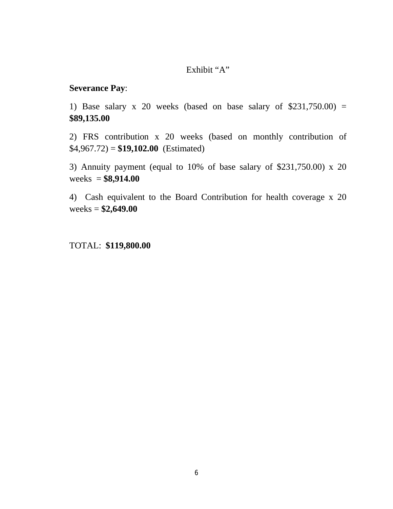### Exhibit "A"

#### **Severance Pay**:

1) Base salary x 20 weeks (based on base salary of  $$231,750.00$ ) = **\$89,135.00**

2) FRS contribution x 20 weeks (based on monthly contribution of  $$4,967.72) = $19,102.00$  (Estimated)

3) Annuity payment (equal to 10% of base salary of \$231,750.00) x 20 weeks = **\$8,914.00**

4) Cash equivalent to the Board Contribution for health coverage x 20 weeks = **\$2,649.00**

TOTAL: **\$119,800.00**